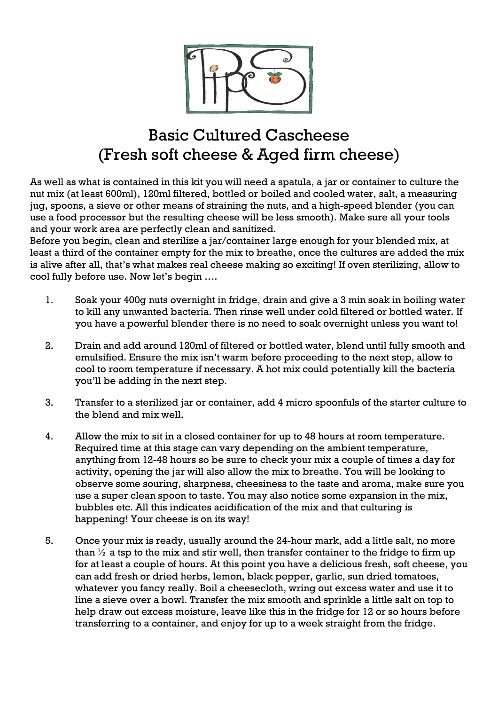

## Basic Cultured Cascheese (Fresh soft cheese & Aged firm cheese)

As well as what is contained in this kit you will need a spatula, a jar or container to culture the nut mix (at least 600ml), 120ml filtered, bottled or boiled and cooled water, salt, a measuring jug, spoons, a sieve or other means of straining the nuts, and a high-speed blender (you can use a food processor but the resulting cheese will be less smooth). Make sure all your tools and your work area are perfectly clean and sanitized.

Before you begin, clean and sterilize a jar/container large enough for your blended mix, at least a third of the container empty for the mix to breathe, once the cultures are added the mix is alive after all, that's what makes real cheese making so exciting! If oven sterilizing, allow to cool fully before use. Now let's begin ….

- 1. Soak your 400g nuts overnight in fridge, drain and give a 3 min soak in boiling water to kill any unwanted bacteria. Then rinse well under cold filtered or bottled water. If you have a powerful blender there is no need to soak overnight unless you want to!
- 2. Drain and add around 120ml of filtered or bottled water, blend until fully smooth and emulsified. Ensure the mix isn't warm before proceeding to the next step, allow to cool to room temperature if necessary. A hot mix could potentially kill the bacteria you'll be adding in the next step.
- 3. Transfer to a sterilized jar or container, add 4 micro spoonfuls of the starter culture to the blend and mix well.
- 4. Allow the mix to sit in a closed container for up to 48 hours at room temperature. Required time at this stage can vary depending on the ambient temperature, anything from 12-48 hours so be sure to check your mix a couple of times a day for activity, opening the jar will also allow the mix to breathe. You will be looking to observe some souring, sharpness, cheesiness to the taste and aroma, make sure you use a super clean spoon to taste. You may also notice some expansion in the mix, bubbles etc. All this indicates acidification of the mix and that culturing is happening! Your cheese is on its way!
- 5. Once your mix is ready, usually around the 24-hour mark, add a little salt, no more than  $\frac{1}{2}$  a tsp to the mix and stir well, then transfer container to the fridge to firm up for at least a couple of hours. At this point you have a delicious fresh, soft cheese, you can add fresh or dried herbs, lemon, black pepper, garlic, sun dried tomatoes, whatever you fancy really. Boil a cheesecloth, wring out excess water and use it to line a sieve over a bowl. Transfer the mix smooth and sprinkle a little salt on top to help draw out excess moisture, leave like this in the fridge for 12 or so hours before transferring to a container, and enjoy for up to a week straight from the fridge.